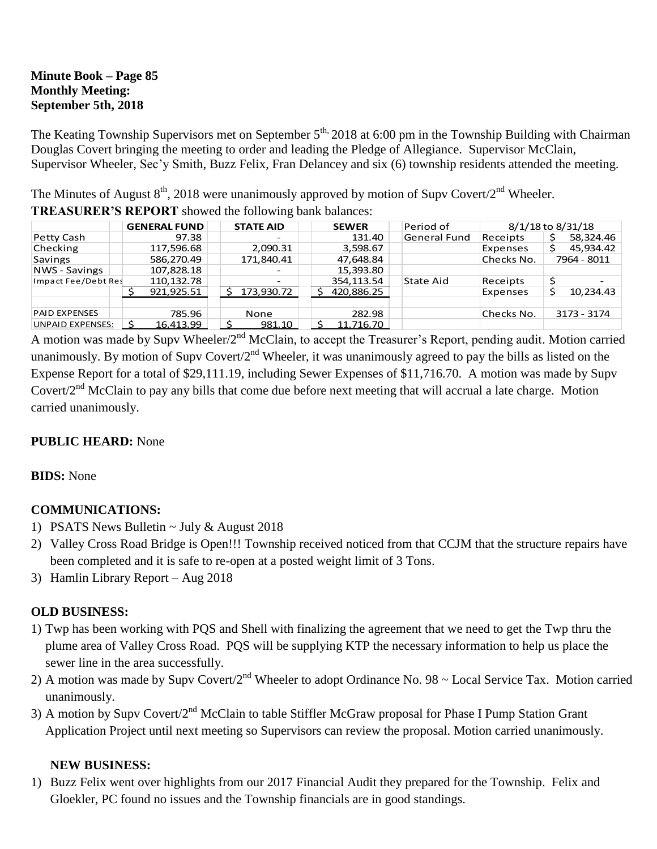### **Minute Book – Page 85 Monthly Meeting: September 5th, 2018**

The Keating Township Supervisors met on September 5<sup>th,</sup> 2018 at 6:00 pm in the Township Building with Chairman Douglas Covert bringing the meeting to order and leading the Pledge of Allegiance. Supervisor McClain, Supervisor Wheeler, Sec'y Smith, Buzz Felix, Fran Delancey and six (6) township residents attended the meeting.

The Minutes of August  $8^{th}$ , 2018 were unanimously approved by motion of Supv Covert/2<sup>nd</sup> Wheeler.

| THE PRODUCED THE OTHER SHOW OF THE UNITED WHILE OWNER CONTINUOUS. |                     |                          |              |              |                   |             |
|-------------------------------------------------------------------|---------------------|--------------------------|--------------|--------------|-------------------|-------------|
|                                                                   | <b>GENERAL FUND</b> | <b>STATE AID</b>         | <b>SEWER</b> | Period of    | 8/1/18 to 8/31/18 |             |
| Petty Cash                                                        | 97.38               | $\overline{\phantom{0}}$ | 131.40       | General Fund | Receipts          | 58,324.46   |
| Checking                                                          | 117,596.68          | 2,090.31                 | 3,598.67     |              | Expenses          | 45,934.42   |
| <b>Savings</b>                                                    | 586,270.49          | 171,840.41               | 47,648.84    |              | Checks No.        | 7964 - 8011 |
| NWS - Savings                                                     | 107,828.18          |                          | 15,393.80    |              |                   |             |
| Impact Fee/Debt Res                                               | 110,132.78          |                          | 354.113.54   | State Aid    | Receipts          |             |
|                                                                   | 921,925.51          | 173,930.72               | 420,886.25   |              | Expenses          | 10,234.43   |
| <b>PAID EXPENSES</b>                                              | 785.96              | None                     | 282.98       |              | Checks No.        | 3173 - 3174 |
| <b>UNPAID EXPENSES:</b>                                           | 16,413.99           | 981.10                   | 11,716.70    |              |                   |             |

**TREASURER'S REPORT** showed the following bank balances:

A motion was made by Supv Wheeler/2<sup>nd</sup> McClain, to accept the Treasurer's Report, pending audit. Motion carried unanimously. By motion of Supv Covert/ $2<sup>nd</sup>$  Wheeler, it was unanimously agreed to pay the bills as listed on the Expense Report for a total of \$29,111.19, including Sewer Expenses of \$11,716.70. A motion was made by Supv Covert/2<sup>nd</sup> McClain to pay any bills that come due before next meeting that will accrual a late charge. Motion carried unanimously.

## **PUBLIC HEARD:** None

## **BIDS:** None

# **COMMUNICATIONS:**

- 1) PSATS News Bulletin  $\sim$  July & August 2018
- 2) Valley Cross Road Bridge is Open!!! Township received noticed from that CCJM that the structure repairs have been completed and it is safe to re-open at a posted weight limit of 3 Tons.
- 3) Hamlin Library Report Aug 2018

## **OLD BUSINESS:**

- 1) Twp has been working with PQS and Shell with finalizing the agreement that we need to get the Twp thru the plume area of Valley Cross Road. PQS will be supplying KTP the necessary information to help us place the sewer line in the area successfully.
- 2) A motion was made by Supv Covert/2<sup>nd</sup> Wheeler to adopt Ordinance No. 98 ~ Local Service Tax. Motion carried unanimously.
- 3) A motion by Supy Covert/2<sup>nd</sup> McClain to table Stiffler McGraw proposal for Phase I Pump Station Grant Application Project until next meeting so Supervisors can review the proposal. Motion carried unanimously.

## **NEW BUSINESS:**

1) Buzz Felix went over highlights from our 2017 Financial Audit they prepared for the Township. Felix and Gloekler, PC found no issues and the Township financials are in good standings.